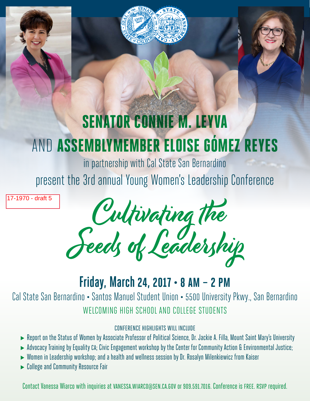



# senator connie m. leyva and assemblymember eloise gómez reyes

in partnership with Cal State San Bernardino present the 3rd annual Young Women's Leadership Conference



### **Friday, March 24, 2017 • 8 am – 2 pm**

Cal State San Bernardino • Santos Manuel Student Union • 5500 University Pkwy., San Bernardino welcoming high school and college students

#### conference highlights will include

- ⊲ Report on the Status of Women by Associate Professor of Political Science, Dr. Jackie A. Filla, Mount Saint Mary's University
- ► Advocacy Training by Equality CA; Civic Engagement workshop by the Center for Community Action & Environmental Justice;
- ► Women in Leadership workshop; and a health and wellness session by Dr. Rosalyn Milenkiewicz from Kaiser
- ► College and Community Resource Fair